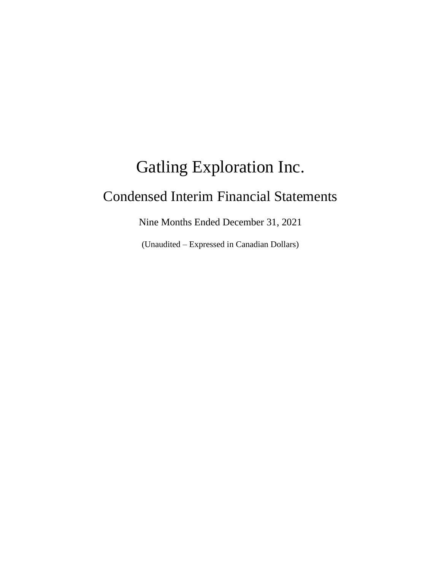# Gatling Exploration Inc. Condensed Interim Financial Statements

Nine Months Ended December 31, 2021

(Unaudited – Expressed in Canadian Dollars)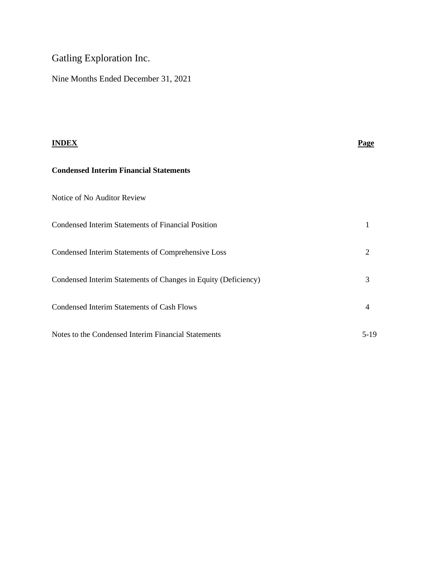# Gatling Exploration Inc.

Nine Months Ended December 31, 2021

| <b>INDEX</b>                                                   | <b>Page</b>    |
|----------------------------------------------------------------|----------------|
| <b>Condensed Interim Financial Statements</b>                  |                |
| Notice of No Auditor Review                                    |                |
| <b>Condensed Interim Statements of Financial Position</b>      | 1              |
| Condensed Interim Statements of Comprehensive Loss             | 2              |
| Condensed Interim Statements of Changes in Equity (Deficiency) | 3              |
| Condensed Interim Statements of Cash Flows                     | $\overline{4}$ |
| Notes to the Condensed Interim Financial Statements            | $5-19$         |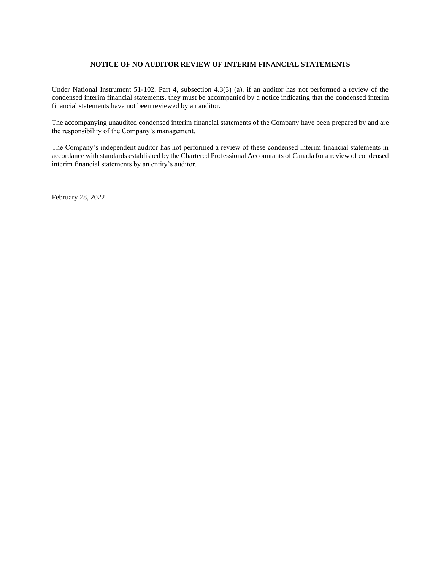# **NOTICE OF NO AUDITOR REVIEW OF INTERIM FINANCIAL STATEMENTS**

Under National Instrument 51-102, Part 4, subsection 4.3(3) (a), if an auditor has not performed a review of the condensed interim financial statements, they must be accompanied by a notice indicating that the condensed interim financial statements have not been reviewed by an auditor.

The accompanying unaudited condensed interim financial statements of the Company have been prepared by and are the responsibility of the Company's management.

The Company's independent auditor has not performed a review of these condensed interim financial statements in accordance with standards established by the Chartered Professional Accountants of Canada for a review of condensed interim financial statements by an entity's auditor.

February 28, 2022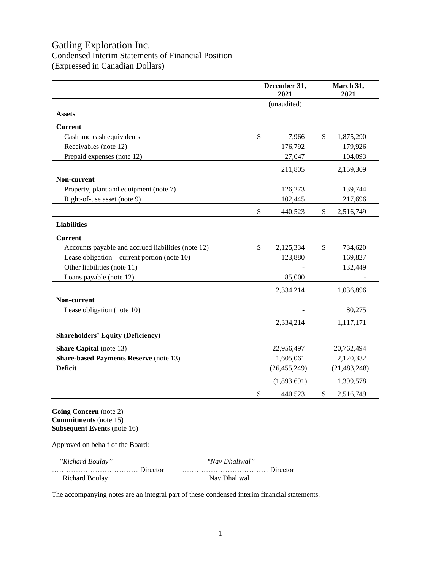# Gatling Exploration Inc. Condensed Interim Statements of Financial Position (Expressed in Canadian Dollars)

|                                                    | December 31,<br>2021 | March 31,<br>2021 |
|----------------------------------------------------|----------------------|-------------------|
|                                                    | (unaudited)          |                   |
| <b>Assets</b>                                      |                      |                   |
| <b>Current</b>                                     |                      |                   |
| Cash and cash equivalents                          | \$<br>7,966          | \$<br>1,875,290   |
| Receivables (note 12)                              | 176,792              | 179,926           |
| Prepaid expenses (note 12)                         | 27,047               | 104,093           |
|                                                    | 211,805              | 2,159,309         |
| Non-current                                        |                      |                   |
| Property, plant and equipment (note 7)             | 126,273              | 139,744           |
| Right-of-use asset (note 9)                        | 102,445              | 217,696           |
|                                                    | \$<br>440,523        | \$<br>2,516,749   |
| <b>Liabilities</b>                                 |                      |                   |
| <b>Current</b>                                     |                      |                   |
| Accounts payable and accrued liabilities (note 12) | \$<br>2,125,334      | \$<br>734,620     |
| Lease obligation – current portion (note $10$ )    | 123,880              | 169,827           |
| Other liabilities (note 11)                        |                      | 132,449           |
| Loans payable (note 12)                            | 85,000               |                   |
|                                                    | 2,334,214            | 1,036,896         |
| Non-current                                        |                      |                   |
| Lease obligation (note 10)                         |                      | 80,275            |
|                                                    | 2,334,214            | 1,117,171         |
| <b>Shareholders' Equity (Deficiency)</b>           |                      |                   |
| <b>Share Capital</b> (note 13)                     | 22,956,497           | 20,762,494        |
| <b>Share-based Payments Reserve</b> (note 13)      | 1,605,061            | 2,120,332         |
| <b>Deficit</b>                                     | (26, 455, 249)       | (21, 483, 248)    |
|                                                    | (1,893,691)          | 1,399,578         |
|                                                    | \$<br>440,523        | \$<br>2,516,749   |

**Going Concern** (note 2) **Commitments** (note 15) **Subsequent Events** (note 16)

Approved on behalf of the Board:

| "Richard Boulay" | "Nav Dhaliwal" |
|------------------|----------------|
|                  |                |
| Richard Boulay   | Nav Dhaliwal   |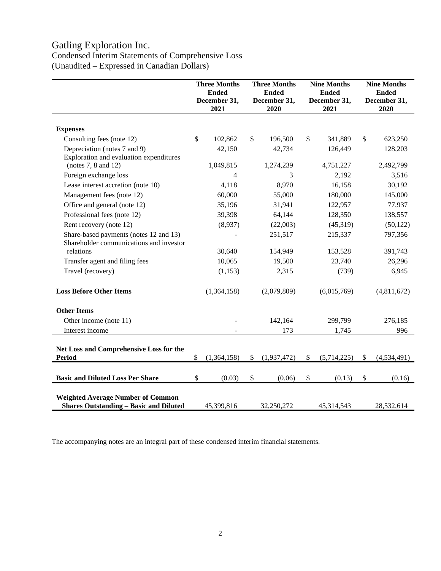# Gatling Exploration Inc.

# Condensed Interim Statements of Comprehensive Loss (Unaudited – Expressed in Canadian Dollars)

|                                                                                           |              | <b>Three Months</b><br><b>Ended</b><br>December 31,<br>2021 | <b>Three Months</b><br><b>Ended</b><br>December 31,<br>2020 |             | <b>Nine Months</b><br><b>Ended</b><br>December 31,<br>2021 |             |    | <b>Nine Months</b><br><b>Ended</b><br>December 31,<br>2020 |
|-------------------------------------------------------------------------------------------|--------------|-------------------------------------------------------------|-------------------------------------------------------------|-------------|------------------------------------------------------------|-------------|----|------------------------------------------------------------|
|                                                                                           |              |                                                             |                                                             |             |                                                            |             |    |                                                            |
| <b>Expenses</b>                                                                           | \$           |                                                             | \$                                                          | 196,500     | $\mathbb{S}$                                               | 341,889     | \$ |                                                            |
| Consulting fees (note 12)                                                                 |              | 102,862                                                     |                                                             |             |                                                            |             |    | 623,250                                                    |
| Depreciation (notes 7 and 9)<br>Exploration and evaluation expenditures                   |              | 42,150                                                      |                                                             | 42,734      |                                                            | 126,449     |    | 128,203                                                    |
| (notes $7, 8$ and $12$ )                                                                  |              | 1,049,815                                                   |                                                             | 1,274,239   |                                                            | 4,751,227   |    | 2,492,799                                                  |
| Foreign exchange loss                                                                     |              | 4                                                           |                                                             | 3           |                                                            | 2,192       |    | 3,516                                                      |
| Lease interest accretion (note 10)                                                        |              | 4,118                                                       |                                                             | 8,970       |                                                            | 16,158      |    | 30,192                                                     |
| Management fees (note 12)                                                                 |              | 60,000                                                      |                                                             | 55,000      |                                                            | 180,000     |    | 145,000                                                    |
| Office and general (note 12)                                                              |              | 35,196                                                      |                                                             | 31,941      |                                                            | 122,957     |    | 77,937                                                     |
| Professional fees (note 12)                                                               |              | 39,398                                                      |                                                             | 64,144      |                                                            | 128,350     |    | 138,557                                                    |
| Rent recovery (note 12)                                                                   |              | (8,937)                                                     |                                                             | (22,003)    |                                                            | (45,319)    |    | (50, 122)                                                  |
| Share-based payments (notes 12 and 13)<br>Shareholder communications and investor         |              |                                                             |                                                             | 251,517     |                                                            | 215,337     |    | 797,356                                                    |
| relations                                                                                 |              | 30,640                                                      |                                                             | 154,949     |                                                            | 153,528     |    | 391,743                                                    |
| Transfer agent and filing fees                                                            |              | 10,065                                                      |                                                             | 19,500      |                                                            | 23,740      |    | 26,296                                                     |
| Travel (recovery)                                                                         |              | (1, 153)                                                    |                                                             | 2,315       |                                                            | (739)       |    | 6,945                                                      |
| <b>Loss Before Other Items</b>                                                            |              | (1,364,158)                                                 |                                                             | (2,079,809) |                                                            | (6,015,769) |    | (4,811,672)                                                |
| <b>Other Items</b>                                                                        |              |                                                             |                                                             |             |                                                            |             |    |                                                            |
| Other income (note 11)                                                                    |              |                                                             |                                                             | 142,164     |                                                            | 299,799     |    | 276,185                                                    |
| Interest income                                                                           |              |                                                             |                                                             | 173         |                                                            | 1,745       |    | 996                                                        |
| Net Loss and Comprehensive Loss for the<br><b>Period</b>                                  | $\mathbb{S}$ | (1,364,158)                                                 | \$                                                          | (1,937,472) | \$                                                         | (5,714,225) | \$ | (4,534,491)                                                |
|                                                                                           |              |                                                             |                                                             |             |                                                            |             |    |                                                            |
| <b>Basic and Diluted Loss Per Share</b>                                                   | \$           | (0.03)                                                      | $\mathcal{S}$                                               | (0.06)      | \$                                                         | (0.13)      | \$ | (0.16)                                                     |
| <b>Weighted Average Number of Common</b><br><b>Shares Outstanding - Basic and Diluted</b> |              | 45,399,816                                                  |                                                             | 32,250,272  |                                                            | 45,314,543  |    | 28,532,614                                                 |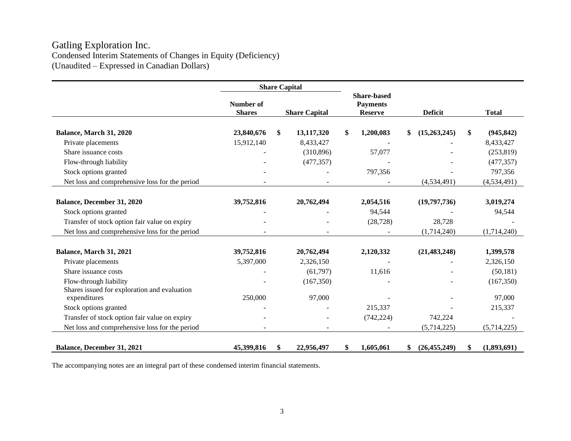# Gatling Exploration Inc. Condensed Interim Statements of Changes in Equity (Deficiency) (Unaudited – Expressed in Canadian Dollars)

|                                                | <b>Share Capital</b>              |                      |            |                                                         |    |                |                   |
|------------------------------------------------|-----------------------------------|----------------------|------------|---------------------------------------------------------|----|----------------|-------------------|
|                                                | <b>Number of</b><br><b>Shares</b> | <b>Share Capital</b> |            | <b>Share-based</b><br><b>Payments</b><br><b>Reserve</b> |    | <b>Deficit</b> | <b>Total</b>      |
|                                                |                                   |                      |            |                                                         |    |                |                   |
| Balance, March 31, 2020                        | 23,840,676                        | \$                   | 13,117,320 | \$<br>1,200,083                                         | \$ | (15,263,245)   | \$<br>(945, 842)  |
| Private placements                             | 15,912,140                        |                      | 8,433,427  |                                                         |    |                | 8,433,427         |
| Share issuance costs                           |                                   |                      | (310, 896) | 57,077                                                  |    |                | (253, 819)        |
| Flow-through liability                         |                                   |                      | (477, 357) |                                                         |    |                | (477, 357)        |
| Stock options granted                          |                                   |                      |            | 797,356                                                 |    |                | 797,356           |
| Net loss and comprehensive loss for the period |                                   |                      |            |                                                         |    | (4,534,491)    | (4, 534, 491)     |
|                                                |                                   |                      |            |                                                         |    |                |                   |
| Balance, December 31, 2020                     | 39,752,816                        |                      | 20,762,494 | 2,054,516                                               |    | (19,797,736)   | 3,019,274         |
| Stock options granted                          |                                   |                      |            | 94,544                                                  |    |                | 94,544            |
| Transfer of stock option fair value on expiry  |                                   |                      |            | (28, 728)                                               |    | 28,728         |                   |
| Net loss and comprehensive loss for the period |                                   |                      |            |                                                         |    | (1,714,240)    | (1,714,240)       |
|                                                |                                   |                      |            |                                                         |    |                |                   |
| Balance, March 31, 2021                        | 39,752,816                        |                      | 20,762,494 | 2,120,332                                               |    | (21, 483, 248) | 1,399,578         |
| Private placements                             | 5,397,000                         |                      | 2,326,150  |                                                         |    |                | 2,326,150         |
| Share issuance costs                           |                                   |                      | (61, 797)  | 11,616                                                  |    |                | (50, 181)         |
| Flow-through liability                         |                                   |                      | (167, 350) |                                                         |    |                | (167,350)         |
| Shares issued for exploration and evaluation   |                                   |                      |            |                                                         |    |                |                   |
| expenditures                                   | 250,000                           |                      | 97,000     |                                                         |    |                | 97,000            |
| Stock options granted                          |                                   |                      |            | 215,337                                                 |    |                | 215,337           |
| Transfer of stock option fair value on expiry  |                                   |                      |            | (742, 224)                                              |    | 742,224        |                   |
| Net loss and comprehensive loss for the period |                                   |                      |            |                                                         |    | (5,714,225)    | (5,714,225)       |
|                                                |                                   |                      |            |                                                         |    |                |                   |
| Balance, December 31, 2021                     | 45,399,816                        | \$                   | 22,956,497 | \$<br>1,605,061                                         | \$ | (26, 455, 249) | \$<br>(1,893,691) |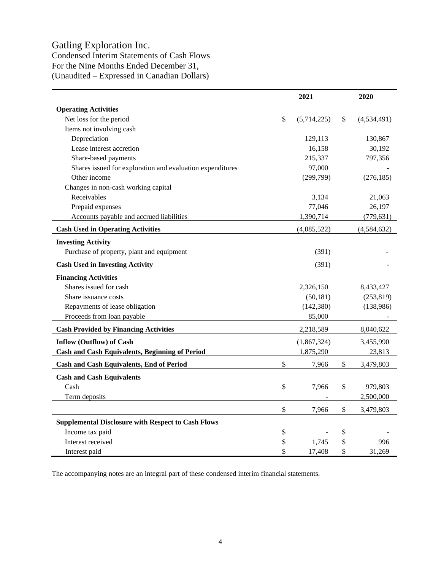# Gatling Exploration Inc.

Condensed Interim Statements of Cash Flows For the Nine Months Ended December 31, (Unaudited – Expressed in Canadian Dollars)

|                                                           |    | 2020        |                   |  |
|-----------------------------------------------------------|----|-------------|-------------------|--|
| <b>Operating Activities</b>                               |    |             |                   |  |
| Net loss for the period                                   | \$ | (5,714,225) | \$<br>(4,534,491) |  |
| Items not involving cash                                  |    |             |                   |  |
| Depreciation                                              |    | 129,113     | 130,867           |  |
| Lease interest accretion                                  |    | 16,158      | 30,192            |  |
| Share-based payments                                      |    | 215,337     | 797,356           |  |
| Shares issued for exploration and evaluation expenditures |    | 97,000      |                   |  |
| Other income                                              |    | (299,799)   | (276, 185)        |  |
| Changes in non-cash working capital                       |    |             |                   |  |
| Receivables                                               |    | 3,134       | 21,063            |  |
| Prepaid expenses                                          |    | 77,046      | 26,197            |  |
| Accounts payable and accrued liabilities                  |    | 1,390,714   | (779, 631)        |  |
| <b>Cash Used in Operating Activities</b>                  |    | (4,085,522) | (4,584,632)       |  |
| <b>Investing Activity</b>                                 |    |             |                   |  |
| Purchase of property, plant and equipment                 |    | (391)       |                   |  |
| <b>Cash Used in Investing Activity</b>                    |    | (391)       |                   |  |
| <b>Financing Activities</b>                               |    |             |                   |  |
| Shares issued for cash                                    |    | 2,326,150   | 8,433,427         |  |
| Share issuance costs                                      |    | (50, 181)   | (253, 819)        |  |
| Repayments of lease obligation                            |    | (142, 380)  | (138,986)         |  |
| Proceeds from loan payable                                |    | 85,000      |                   |  |
| <b>Cash Provided by Financing Activities</b>              |    | 2,218,589   | 8,040,622         |  |
| <b>Inflow (Outflow) of Cash</b>                           |    | (1,867,324) | 3,455,990         |  |
| <b>Cash and Cash Equivalents, Beginning of Period</b>     |    | 1,875,290   | 23,813            |  |
| Cash and Cash Equivalents, End of Period                  | \$ | 7,966       | \$<br>3,479,803   |  |
| <b>Cash and Cash Equivalents</b>                          |    |             |                   |  |
| Cash                                                      | \$ | 7,966       | \$<br>979,803     |  |
| Term deposits                                             |    |             | 2,500,000         |  |
|                                                           | \$ | 7,966       | \$<br>3,479,803   |  |
| <b>Supplemental Disclosure with Respect to Cash Flows</b> |    |             |                   |  |
| Income tax paid                                           | \$ |             | \$                |  |
| Interest received                                         | \$ | 1,745       | \$<br>996         |  |
| Interest paid                                             | \$ | 17,408      | \$<br>31,269      |  |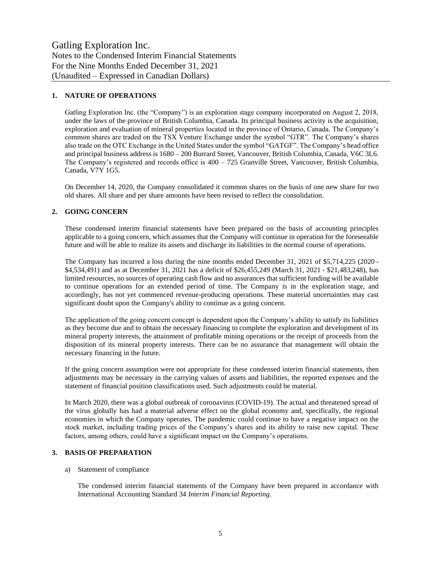# **1. NATURE OF OPERATIONS**

Gatling Exploration Inc. (the "Company") is an exploration stage company incorporated on August 2, 2018, under the laws of the province of British Columbia, Canada. Its principal business activity is the acquisition, exploration and evaluation of mineral properties located in the province of Ontario, Canada. The Company's common shares are traded on the TSX Venture Exchange under the symbol "GTR". The Company's shares also trade on the OTC Exchange in the United States under the symbol "GATGF". The Company's head office and principal business address is 1680 – 200 Burrard Street, Vancouver, British Columbia, Canada, V6C 3L6. The Company's registered and records office is 400 – 725 Granville Street, Vancouver, British Columbia, Canada, V7Y 1G5.

On December 14, 2020, the Company consolidated it common shares on the basis of one new share for two old shares. All share and per share amounts have been revised to reflect the consolidation.

# **2. GOING CONCERN**

These condensed interim financial statements have been prepared on the basis of accounting principles applicable to a going concern, which assumes that the Company will continue in operation for the foreseeable future and will be able to realize its assets and discharge its liabilities in the normal course of operations.

The Company has incurred a loss during the nine months ended December 31, 2021 of \$5,714,225 (2020 - \$4,534,491) and as at December 31, 2021 has a deficit of \$26,455,249 (March 31, 2021 - \$21,483,248), has limited resources, no sources of operating cash flow and no assurances that sufficient funding will be available to continue operations for an extended period of time. The Company is in the exploration stage, and accordingly, has not yet commenced revenue-producing operations. These material uncertainties may cast significant doubt upon the Company's ability to continue as a going concern.

The application of the going concern concept is dependent upon the Company's ability to satisfy its liabilities as they become due and to obtain the necessary financing to complete the exploration and development of its mineral property interests, the attainment of profitable mining operations or the receipt of proceeds from the disposition of its mineral property interests. There can be no assurance that management will obtain the necessary financing in the future.

If the going concern assumption were not appropriate for these condensed interim financial statements, then adjustments may be necessary in the carrying values of assets and liabilities, the reported expenses and the statement of financial position classifications used. Such adjustments could be material.

In March 2020, there was a global outbreak of coronavirus (COVID-19). The actual and threatened spread of the virus globally has had a material adverse effect on the global economy and, specifically, the regional economies in which the Company operates. The pandemic could continue to have a negative impact on the stock market, including trading prices of the Company's shares and its ability to raise new capital. These factors, among others, could have a significant impact on the Company's operations.

# **3. BASIS OF PREPARATION**

#### a) Statement of compliance

The condensed interim financial statements of the Company have been prepared in accordance with International Accounting Standard 34 *Interim Financial Reporting*.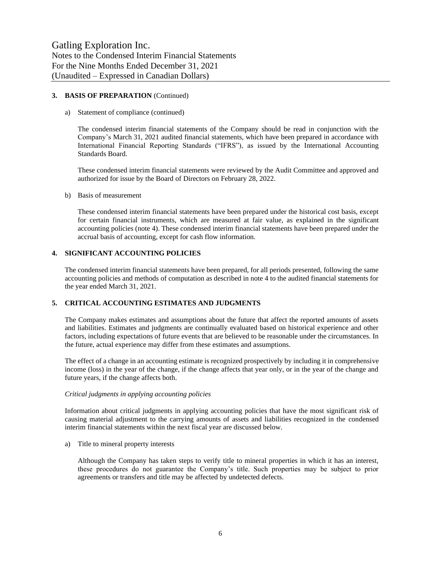# **3. BASIS OF PREPARATION** (Continued)

#### a) Statement of compliance (continued)

The condensed interim financial statements of the Company should be read in conjunction with the Company's March 31, 2021 audited financial statements, which have been prepared in accordance with International Financial Reporting Standards ("IFRS"), as issued by the International Accounting Standards Board.

These condensed interim financial statements were reviewed by the Audit Committee and approved and authorized for issue by the Board of Directors on February 28, 2022.

#### b) Basis of measurement

These condensed interim financial statements have been prepared under the historical cost basis, except for certain financial instruments, which are measured at fair value, as explained in the significant accounting policies (note 4). These condensed interim financial statements have been prepared under the accrual basis of accounting, except for cash flow information.

#### **4. SIGNIFICANT ACCOUNTING POLICIES**

The condensed interim financial statements have been prepared, for all periods presented, following the same accounting policies and methods of computation as described in note 4 to the audited financial statements for the year ended March 31, 2021.

#### **5. CRITICAL ACCOUNTING ESTIMATES AND JUDGMENTS**

The Company makes estimates and assumptions about the future that affect the reported amounts of assets and liabilities. Estimates and judgments are continually evaluated based on historical experience and other factors, including expectations of future events that are believed to be reasonable under the circumstances. In the future, actual experience may differ from these estimates and assumptions.

The effect of a change in an accounting estimate is recognized prospectively by including it in comprehensive income (loss) in the year of the change, if the change affects that year only, or in the year of the change and future years, if the change affects both.

#### *Critical judgments in applying accounting policies*

Information about critical judgments in applying accounting policies that have the most significant risk of causing material adjustment to the carrying amounts of assets and liabilities recognized in the condensed interim financial statements within the next fiscal year are discussed below.

a) Title to mineral property interests

Although the Company has taken steps to verify title to mineral properties in which it has an interest, these procedures do not guarantee the Company's title. Such properties may be subject to prior agreements or transfers and title may be affected by undetected defects.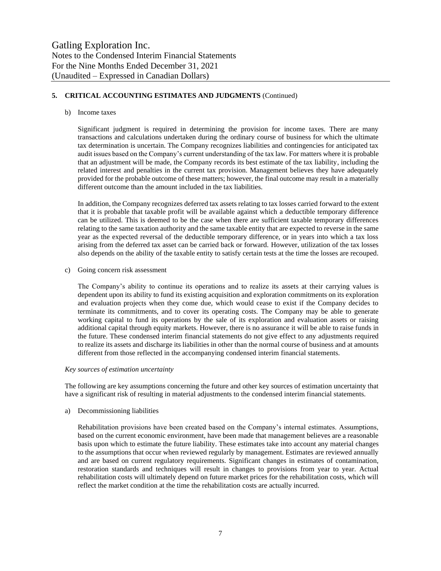# **5. CRITICAL ACCOUNTING ESTIMATES AND JUDGMENTS** (Continued)

#### b) Income taxes

Significant judgment is required in determining the provision for income taxes. There are many transactions and calculations undertaken during the ordinary course of business for which the ultimate tax determination is uncertain. The Company recognizes liabilities and contingencies for anticipated tax audit issues based on the Company's current understanding of the tax law. For matters where it is probable that an adjustment will be made, the Company records its best estimate of the tax liability, including the related interest and penalties in the current tax provision. Management believes they have adequately provided for the probable outcome of these matters; however, the final outcome may result in a materially different outcome than the amount included in the tax liabilities.

In addition, the Company recognizes deferred tax assets relating to tax losses carried forward to the extent that it is probable that taxable profit will be available against which a deductible temporary difference can be utilized. This is deemed to be the case when there are sufficient taxable temporary differences relating to the same taxation authority and the same taxable entity that are expected to reverse in the same year as the expected reversal of the deductible temporary difference, or in years into which a tax loss arising from the deferred tax asset can be carried back or forward. However, utilization of the tax losses also depends on the ability of the taxable entity to satisfy certain tests at the time the losses are recouped.

c) Going concern risk assessment

The Company's ability to continue its operations and to realize its assets at their carrying values is dependent upon its ability to fund its existing acquisition and exploration commitments on its exploration and evaluation projects when they come due, which would cease to exist if the Company decides to terminate its commitments, and to cover its operating costs. The Company may be able to generate working capital to fund its operations by the sale of its exploration and evaluation assets or raising additional capital through equity markets. However, there is no assurance it will be able to raise funds in the future. These condensed interim financial statements do not give effect to any adjustments required to realize its assets and discharge its liabilities in other than the normal course of business and at amounts different from those reflected in the accompanying condensed interim financial statements.

#### *Key sources of estimation uncertainty*

The following are key assumptions concerning the future and other key sources of estimation uncertainty that have a significant risk of resulting in material adjustments to the condensed interim financial statements.

#### a) Decommissioning liabilities

Rehabilitation provisions have been created based on the Company's internal estimates. Assumptions, based on the current economic environment, have been made that management believes are a reasonable basis upon which to estimate the future liability. These estimates take into account any material changes to the assumptions that occur when reviewed regularly by management. Estimates are reviewed annually and are based on current regulatory requirements. Significant changes in estimates of contamination, restoration standards and techniques will result in changes to provisions from year to year. Actual rehabilitation costs will ultimately depend on future market prices for the rehabilitation costs, which will reflect the market condition at the time the rehabilitation costs are actually incurred.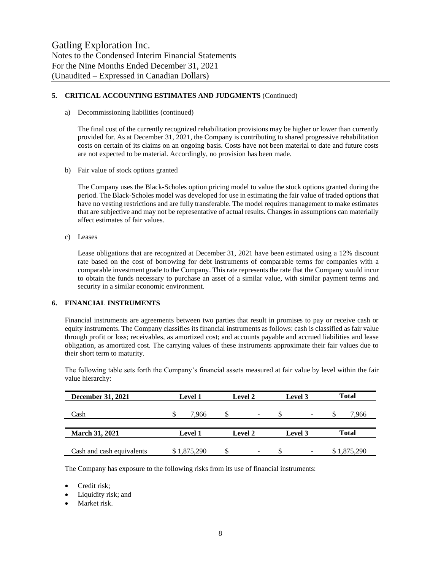# **5. CRITICAL ACCOUNTING ESTIMATES AND JUDGMENTS** (Continued)

a) Decommissioning liabilities (continued)

The final cost of the currently recognized rehabilitation provisions may be higher or lower than currently provided for. As at December 31, 2021, the Company is contributing to shared progressive rehabilitation costs on certain of its claims on an ongoing basis. Costs have not been material to date and future costs are not expected to be material. Accordingly, no provision has been made.

b) Fair value of stock options granted

The Company uses the Black-Scholes option pricing model to value the stock options granted during the period. The Black-Scholes model was developed for use in estimating the fair value of traded options that have no vesting restrictions and are fully transferable. The model requires management to make estimates that are subjective and may not be representative of actual results. Changes in assumptions can materially affect estimates of fair values.

c) Leases

Lease obligations that are recognized at December 31, 2021 have been estimated using a 12% discount rate based on the cost of borrowing for debt instruments of comparable terms for companies with a comparable investment grade to the Company. This rate represents the rate that the Company would incur to obtain the funds necessary to purchase an asset of a similar value, with similar payment terms and security in a similar economic environment.

# **6. FINANCIAL INSTRUMENTS**

Financial instruments are agreements between two parties that result in promises to pay or receive cash or equity instruments. The Company classifies its financial instruments as follows: cash is classified as fair value through profit or loss; receivables, as amortized cost; and accounts payable and accrued liabilities and lease obligation, as amortized cost. The carrying values of these instruments approximate their fair values due to their short term to maturity.

The following table sets forth the Company's financial assets measured at fair value by level within the fair value hierarchy:

| <b>December 31, 2021</b>  | <b>Level 1</b> | <b>Level 2</b>           | Level 3                      | <b>Total</b> |  |  |
|---------------------------|----------------|--------------------------|------------------------------|--------------|--|--|
| Cash                      | 7.966          | $\overline{\phantom{a}}$ | $\qquad \qquad \blacksquare$ | 7,966<br>J   |  |  |
|                           |                |                          |                              |              |  |  |
| <b>March 31, 2021</b>     | <b>Level 1</b> | Level 2                  | Level 3                      | <b>Total</b> |  |  |
|                           |                |                          |                              |              |  |  |
| Cash and cash equivalents | \$1,875,290    | $\overline{\phantom{a}}$ | $\qquad \qquad \blacksquare$ | \$1,875,290  |  |  |

The Company has exposure to the following risks from its use of financial instruments:

- Credit risk;
- Liquidity risk; and
- Market risk.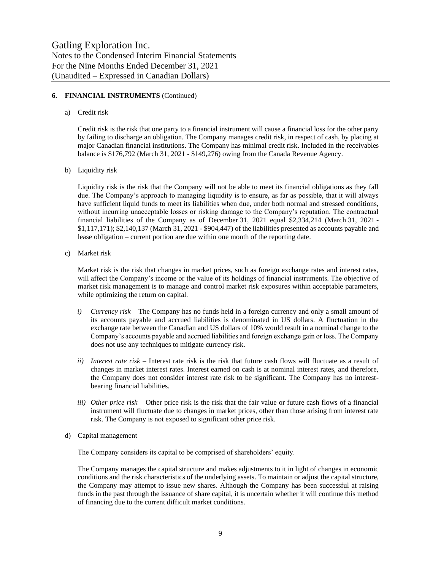# **6. FINANCIAL INSTRUMENTS** (Continued)

a) Credit risk

Credit risk is the risk that one party to a financial instrument will cause a financial loss for the other party by failing to discharge an obligation. The Company manages credit risk, in respect of cash, by placing at major Canadian financial institutions. The Company has minimal credit risk. Included in the receivables balance is \$176,792 (March 31, 2021 - \$149,276) owing from the Canada Revenue Agency.

b) Liquidity risk

Liquidity risk is the risk that the Company will not be able to meet its financial obligations as they fall due. The Company's approach to managing liquidity is to ensure, as far as possible, that it will always have sufficient liquid funds to meet its liabilities when due, under both normal and stressed conditions, without incurring unacceptable losses or risking damage to the Company's reputation. The contractual financial liabilities of the Company as of December 31, 2021 equal \$2,334,214 (March 31, 2021 - \$1,117,171); \$2,140,137 (March 31, 2021 - \$904,447) of the liabilities presented as accounts payable and lease obligation – current portion are due within one month of the reporting date.

c) Market risk

Market risk is the risk that changes in market prices, such as foreign exchange rates and interest rates, will affect the Company's income or the value of its holdings of financial instruments. The objective of market risk management is to manage and control market risk exposures within acceptable parameters, while optimizing the return on capital.

- *i) Currency risk –* The Company has no funds held in a foreign currency and only a small amount of its accounts payable and accrued liabilities is denominated in US dollars. A fluctuation in the exchange rate between the Canadian and US dollars of 10% would result in a nominal change to the Company's accounts payable and accrued liabilities and foreign exchange gain or loss. The Company does not use any techniques to mitigate currency risk.
- *ii) Interest rate risk –* Interest rate risk is the risk that future cash flows will fluctuate as a result of changes in market interest rates. Interest earned on cash is at nominal interest rates, and therefore, the Company does not consider interest rate risk to be significant. The Company has no interestbearing financial liabilities.
- *iii) Other price risk –* Other price risk is the risk that the fair value or future cash flows of a financial instrument will fluctuate due to changes in market prices, other than those arising from interest rate risk. The Company is not exposed to significant other price risk.
- d) Capital management

The Company considers its capital to be comprised of shareholders' equity.

The Company manages the capital structure and makes adjustments to it in light of changes in economic conditions and the risk characteristics of the underlying assets. To maintain or adjust the capital structure, the Company may attempt to issue new shares. Although the Company has been successful at raising funds in the past through the issuance of share capital, it is uncertain whether it will continue this method of financing due to the current difficult market conditions.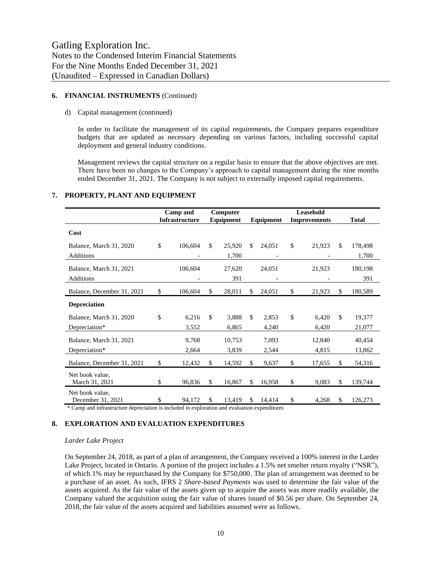## **6. FINANCIAL INSTRUMENTS** (Continued)

#### d) Capital management (continued)

In order to facilitate the management of its capital requirements, the Company prepares expenditure budgets that are updated as necessary depending on various factors, including successful capital deployment and general industry conditions.

Management reviews the capital structure on a regular basis to ensure that the above objectives are met. There have been no changes to the Company's approach to capital management during the nine months ended December 31, 2021. The Company is not subject to externally imposed capital requirements.

|                                      | <b>Camp and</b>       |               | Leasehold<br>Computer |     |           |    |                     |               |              |  |
|--------------------------------------|-----------------------|---------------|-----------------------|-----|-----------|----|---------------------|---------------|--------------|--|
|                                      | <b>Infrastructure</b> |               | Equipment             |     | Equipment |    | <b>Improvements</b> |               | <b>Total</b> |  |
| Cost                                 |                       |               |                       |     |           |    |                     |               |              |  |
| Balance, March 31, 2020              | \$<br>106,604         | <sup>\$</sup> | 25,920                | \$  | 24,051    | \$ | 21,923              | \$.           | 178,498      |  |
| <b>Additions</b>                     |                       |               | 1,700                 |     |           |    |                     |               | 1,700        |  |
| Balance, March 31, 2021              | 106,604               |               | 27,620                |     | 24,051    |    | 21,923              |               | 180,198      |  |
| Additions                            |                       |               | 391                   |     |           |    |                     |               | 391          |  |
| Balance, December 31, 2021           | \$<br>106,604         | \$            | 28,011                | \$  | 24,051    | \$ | 21,923              | \$            | 180,589      |  |
| <b>Depreciation</b>                  |                       |               |                       |     |           |    |                     |               |              |  |
| Balance, March 31, 2020              | \$<br>6,216           | $\mathsf{\$}$ | 3,888                 | \$  | 2,853     | \$ | 6,420               | <sup>\$</sup> | 19,377       |  |
| Depreciation*                        | 3,552                 |               | 6,865                 |     | 4,240     |    | 6,420               |               | 21,077       |  |
| Balance, March 31, 2021              | 9,768                 |               | 10,753                |     | 7,093     |    | 12,840              |               | 40,454       |  |
| Depreciation*                        | 2,664                 |               | 3,839                 |     | 2,544     |    | 4,815               |               | 13,862       |  |
| Balance, December 31, 2021           | \$<br>12,432          | \$            | 14,592                | \$. | 9,637     | \$ | 17,655              | \$            | 54,316       |  |
| Net book value,<br>March 31, 2021    | \$<br>96,836          | \$            | 16,867                | \$. | 16,958    | \$ | 9,083               | \$            | 139,744      |  |
| Net book value,<br>December 31, 2021 | \$<br>94,172          | $\mathbb{S}$  | 13,419                | \$  | 14,414    | \$ | 4,268               | \$.           | 126,273      |  |

#### **7. PROPERTY, PLANT AND EQUIPMENT**

\* Camp and infrastructure depreciation is included in exploration and evaluation expenditures

#### **8. EXPLORATION AND EVALUATION EXPENDITURES**

## *Larder Lake Project*

On September 24, 2018, as part of a plan of arrangement, the Company received a 100% interest in the Larder Lake Project, located in Ontario. A portion of the project includes a 1.5% net smelter return royalty ("NSR"), of which 1% may be repurchased by the Company for \$750,000. The plan of arrangement was deemed to be a purchase of an asset. As such, IFRS 2 *Share-based Payments* was used to determine the fair value of the assets acquired. As the fair value of the assets given up to acquire the assets was more readily available, the Company valued the acquisition using the fair value of shares issued of \$0.56 per share. On September 24, 2018, the fair value of the assets acquired and liabilities assumed were as follows.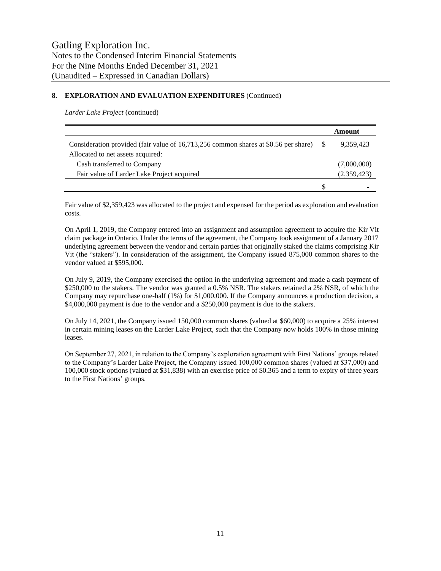# **8. EXPLORATION AND EVALUATION EXPENDITURES** (Continued)

*Larder Lake Project* (continued)

|                                                                                     |     | Amount      |
|-------------------------------------------------------------------------------------|-----|-------------|
| Consideration provided (fair value of 16,713,256 common shares at \$0.56 per share) |     | 9,359,423   |
| Allocated to net assets acquired:                                                   |     |             |
| Cash transferred to Company                                                         |     | (7,000,000) |
| Fair value of Larder Lake Project acquired                                          |     | (2,359,423) |
|                                                                                     | \$. |             |

Fair value of \$2,359,423 was allocated to the project and expensed for the period as exploration and evaluation costs.

On April 1, 2019, the Company entered into an assignment and assumption agreement to acquire the Kir Vit claim package in Ontario. Under the terms of the agreement, the Company took assignment of a January 2017 underlying agreement between the vendor and certain parties that originally staked the claims comprising Kir Vit (the "stakers"). In consideration of the assignment, the Company issued 875,000 common shares to the vendor valued at \$595,000.

On July 9, 2019, the Company exercised the option in the underlying agreement and made a cash payment of \$250,000 to the stakers. The vendor was granted a 0.5% NSR. The stakers retained a 2% NSR, of which the Company may repurchase one-half (1%) for \$1,000,000. If the Company announces a production decision, a \$4,000,000 payment is due to the vendor and a \$250,000 payment is due to the stakers.

On July 14, 2021, the Company issued 150,000 common shares (valued at \$60,000) to acquire a 25% interest in certain mining leases on the Larder Lake Project, such that the Company now holds 100% in those mining leases.

On September 27, 2021, in relation to the Company's exploration agreement with First Nations' groups related to the Company's Larder Lake Project, the Company issued 100,000 common shares (valued at \$37,000) and 100,000 stock options (valued at \$31,838) with an exercise price of \$0.365 and a term to expiry of three years to the First Nations' groups.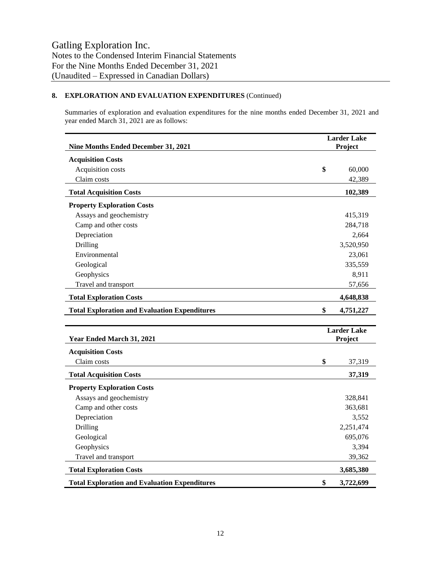# **8. EXPLORATION AND EVALUATION EXPENDITURES** (Continued)

Summaries of exploration and evaluation expenditures for the nine months ended December 31, 2021 and year ended March 31, 2021 are as follows:

| Nine Months Ended December 31, 2021                  |                               | <b>Larder Lake</b><br>Project |  |  |
|------------------------------------------------------|-------------------------------|-------------------------------|--|--|
| <b>Acquisition Costs</b>                             |                               |                               |  |  |
| Acquisition costs                                    | \$                            | 60,000                        |  |  |
| Claim costs                                          |                               | 42,389                        |  |  |
| <b>Total Acquisition Costs</b>                       |                               | 102,389                       |  |  |
| <b>Property Exploration Costs</b>                    |                               |                               |  |  |
| Assays and geochemistry                              |                               | 415,319                       |  |  |
| Camp and other costs                                 |                               | 284,718                       |  |  |
| Depreciation                                         |                               | 2,664                         |  |  |
| Drilling                                             |                               | 3,520,950                     |  |  |
| Environmental                                        |                               | 23,061                        |  |  |
| Geological                                           |                               | 335,559                       |  |  |
| Geophysics                                           |                               | 8,911                         |  |  |
| Travel and transport                                 |                               | 57,656                        |  |  |
| <b>Total Exploration Costs</b>                       |                               | 4,648,838                     |  |  |
| <b>Total Exploration and Evaluation Expenditures</b> | \$                            | 4,751,227                     |  |  |
|                                                      |                               |                               |  |  |
| Year Ended March 31, 2021                            | <b>Larder Lake</b><br>Project |                               |  |  |
| <b>Acquisition Costs</b>                             |                               |                               |  |  |
| Claim costs                                          | \$                            | 37,319                        |  |  |
| <b>Total Acquisition Costs</b>                       |                               | 37,319                        |  |  |
| <b>Property Exploration Costs</b>                    |                               |                               |  |  |
| Assays and geochemistry                              |                               | 328,841                       |  |  |
| Camp and other costs                                 |                               | 363,681                       |  |  |
| Depreciation                                         |                               | 3,552                         |  |  |
| Drilling                                             |                               | 2,251,474                     |  |  |
| Geological                                           |                               | 695,076                       |  |  |
| Geophysics                                           |                               | 3,394                         |  |  |
| Travel and transport                                 |                               | 39,362                        |  |  |
| <b>Total Exploration Costs</b>                       |                               | 3,685,380                     |  |  |
| <b>Total Exploration and Evaluation Expenditures</b> | \$                            | 3,722,699                     |  |  |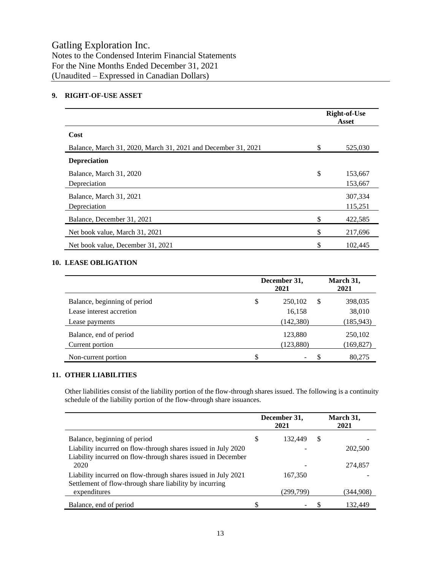Notes to the Condensed Interim Financial Statements For the Nine Months Ended December 31, 2021 (Unaudited – Expressed in Canadian Dollars)

# **9. RIGHT-OF-USE ASSET**

|                                                               |    | <b>Right-of-Use</b><br>Asset |
|---------------------------------------------------------------|----|------------------------------|
| Cost                                                          |    |                              |
| Balance, March 31, 2020, March 31, 2021 and December 31, 2021 | \$ | 525,030                      |
| <b>Depreciation</b>                                           |    |                              |
| Balance, March 31, 2020<br>Depreciation                       | \$ | 153,667<br>153,667           |
| Balance, March 31, 2021<br>Depreciation                       |    | 307,334<br>115,251           |
| Balance, December 31, 2021                                    | S  | 422,585                      |
| Net book value, March 31, 2021                                | \$ | 217,696                      |
| Net book value, December 31, 2021                             | \$ | 102,445                      |

# **10. LEASE OBLIGATION**

|                              | December 31, |            | March 31,<br>2021 |            |  |
|------------------------------|--------------|------------|-------------------|------------|--|
| Balance, beginning of period | \$           | 250,102    | S                 | 398,035    |  |
| Lease interest accretion     |              | 16,158     |                   | 38,010     |  |
| Lease payments               |              | (142, 380) |                   | (185, 943) |  |
| Balance, end of period       |              | 123,880    |                   | 250,102    |  |
| Current portion              |              | (123, 880) |                   | (169, 827) |  |
| Non-current portion          | S            |            |                   | 80,275     |  |

# **11. OTHER LIABILITIES**

Other liabilities consist of the liability portion of the flow-through shares issued. The following is a continuity schedule of the liability portion of the flow-through share issuances.

|                                                                                                                               | December 31,<br>2021 |           | March 31,<br>2021 |           |
|-------------------------------------------------------------------------------------------------------------------------------|----------------------|-----------|-------------------|-----------|
| Balance, beginning of period                                                                                                  | \$                   | 132,449   | S                 |           |
| Liability incurred on flow-through shares issued in July 2020<br>Liability incurred on flow-through shares issued in December |                      |           |                   | 202,500   |
| 2020                                                                                                                          |                      |           |                   | 274,857   |
| Liability incurred on flow-through shares issued in July 2021<br>Settlement of flow-through share liability by incurring      |                      | 167,350   |                   |           |
| expenditures                                                                                                                  |                      | (299,799) |                   | (344,908) |
| Balance, end of period                                                                                                        | \$                   |           |                   | 132.449   |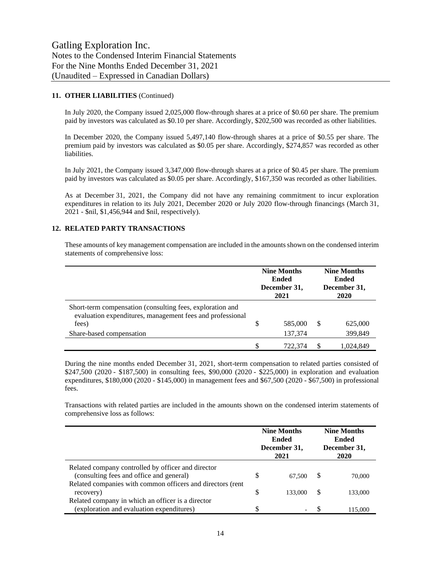# **11. OTHER LIABILITIES** (Continued)

In July 2020, the Company issued 2,025,000 flow-through shares at a price of \$0.60 per share. The premium paid by investors was calculated as \$0.10 per share. Accordingly, \$202,500 was recorded as other liabilities.

In December 2020, the Company issued 5,497,140 flow-through shares at a price of \$0.55 per share. The premium paid by investors was calculated as \$0.05 per share. Accordingly, \$274,857 was recorded as other liabilities.

In July 2021, the Company issued 3,347,000 flow-through shares at a price of \$0.45 per share. The premium paid by investors was calculated as \$0.05 per share. Accordingly, \$167,350 was recorded as other liabilities.

As at December 31, 2021, the Company did not have any remaining commitment to incur exploration expenditures in relation to its July 2021, December 2020 or July 2020 flow-through financings (March 31, 2021 - \$nil, \$1,456,944 and \$nil, respectively).

## **12. RELATED PARTY TRANSACTIONS**

These amounts of key management compensation are included in the amounts shown on the condensed interim statements of comprehensive loss:

|                                                                                                                                 | <b>Nine Months</b><br>Ended<br>December 31,<br>2021 |         | <b>Nine Months</b><br><b>Ended</b><br>December 31,<br>2020 |           |
|---------------------------------------------------------------------------------------------------------------------------------|-----------------------------------------------------|---------|------------------------------------------------------------|-----------|
| Short-term compensation (consulting fees, exploration and<br>evaluation expenditures, management fees and professional<br>fees) | \$                                                  | 585,000 | S                                                          | 625,000   |
| Share-based compensation                                                                                                        |                                                     | 137,374 |                                                            | 399,849   |
|                                                                                                                                 | \$                                                  | 722.374 |                                                            | 1.024.849 |

During the nine months ended December 31, 2021, short-term compensation to related parties consisted of \$247,500 (2020 - \$187,500) in consulting fees, \$90,000 (2020 - \$225,000) in exploration and evaluation expenditures, \$180,000 (2020 - \$145,000) in management fees and \$67,500 (2020 - \$67,500) in professional fees.

Transactions with related parties are included in the amounts shown on the condensed interim statements of comprehensive loss as follows:

|                                                            | <b>Nine Months</b><br><b>Ended</b><br>December 31,<br>2021 |         | <b>Nine Months</b><br>Ended<br>December 31,<br>2020 |         |
|------------------------------------------------------------|------------------------------------------------------------|---------|-----------------------------------------------------|---------|
| Related company controlled by officer and director         |                                                            |         |                                                     |         |
| (consulting fees and office and general)                   | S                                                          | 67,500  | \$.                                                 | 70,000  |
| Related companies with common officers and directors (rent |                                                            |         |                                                     |         |
| recovery)                                                  | S                                                          | 133,000 | \$.                                                 | 133,000 |
| Related company in which an officer is a director          |                                                            |         |                                                     |         |
| (exploration and evaluation expenditures)                  | \$                                                         |         |                                                     | 115,000 |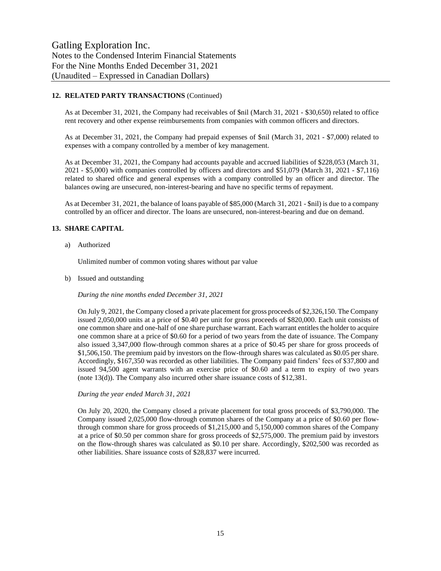# **12. RELATED PARTY TRANSACTIONS** (Continued)

As at December 31, 2021, the Company had receivables of \$nil (March 31, 2021 - \$30,650) related to office rent recovery and other expense reimbursements from companies with common officers and directors.

As at December 31, 2021, the Company had prepaid expenses of \$nil (March 31, 2021 - \$7,000) related to expenses with a company controlled by a member of key management.

As at December 31, 2021, the Company had accounts payable and accrued liabilities of \$228,053 (March 31, 2021 - \$5,000) with companies controlled by officers and directors and \$51,079 (March 31, 2021 - \$7,116) related to shared office and general expenses with a company controlled by an officer and director. The balances owing are unsecured, non-interest-bearing and have no specific terms of repayment.

As at December 31, 2021, the balance of loans payable of \$85,000 (March 31, 2021 - \$nil) is due to a company controlled by an officer and director. The loans are unsecured, non-interest-bearing and due on demand.

# **13. SHARE CAPITAL**

a) Authorized

Unlimited number of common voting shares without par value

b) Issued and outstanding

*During the nine months ended December 31, 2021*

On July 9, 2021, the Company closed a private placement for gross proceeds of \$2,326,150. The Company issued 2,050,000 units at a price of \$0.40 per unit for gross proceeds of \$820,000. Each unit consists of one common share and one-half of one share purchase warrant. Each warrant entitles the holder to acquire one common share at a price of \$0.60 for a period of two years from the date of issuance. The Company also issued 3,347,000 flow-through common shares at a price of \$0.45 per share for gross proceeds of \$1,506,150. The premium paid by investors on the flow-through shares was calculated as \$0.05 per share. Accordingly, \$167,350 was recorded as other liabilities. The Company paid finders' fees of \$37,800 and issued 94,500 agent warrants with an exercise price of \$0.60 and a term to expiry of two years (note 13(d)). The Company also incurred other share issuance costs of \$12,381.

*During the year ended March 31, 2021*

On July 20, 2020, the Company closed a private placement for total gross proceeds of \$3,790,000. The Company issued 2,025,000 flow-through common shares of the Company at a price of \$0.60 per flowthrough common share for gross proceeds of \$1,215,000 and 5,150,000 common shares of the Company at a price of \$0.50 per common share for gross proceeds of \$2,575,000. The premium paid by investors on the flow-through shares was calculated as \$0.10 per share. Accordingly, \$202,500 was recorded as other liabilities. Share issuance costs of \$28,837 were incurred.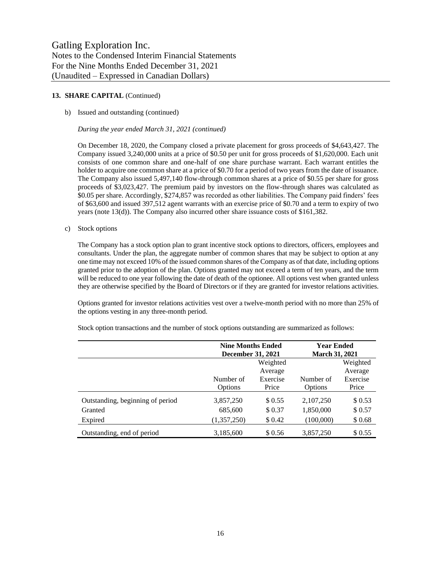#### b) Issued and outstanding (continued)

*During the year ended March 31, 2021 (continued)*

On December 18, 2020, the Company closed a private placement for gross proceeds of \$4,643,427. The Company issued 3,240,000 units at a price of \$0.50 per unit for gross proceeds of \$1,620,000. Each unit consists of one common share and one-half of one share purchase warrant. Each warrant entitles the holder to acquire one common share at a price of \$0.70 for a period of two years from the date of issuance. The Company also issued 5,497,140 flow-through common shares at a price of \$0.55 per share for gross proceeds of \$3,023,427. The premium paid by investors on the flow-through shares was calculated as \$0.05 per share. Accordingly, \$274,857 was recorded as other liabilities. The Company paid finders' fees of \$63,600 and issued 397,512 agent warrants with an exercise price of \$0.70 and a term to expiry of two years (note 13(d)). The Company also incurred other share issuance costs of \$161,382.

c) Stock options

The Company has a stock option plan to grant incentive stock options to directors, officers, employees and consultants. Under the plan, the aggregate number of common shares that may be subject to option at any one time may not exceed 10% of the issued common shares of the Company as of that date, including options granted prior to the adoption of the plan. Options granted may not exceed a term of ten years, and the term will be reduced to one year following the date of death of the optionee. All options vest when granted unless they are otherwise specified by the Board of Directors or if they are granted for investor relations activities.

Options granted for investor relations activities vest over a twelve-month period with no more than 25% of the options vesting in any three-month period.

|                                  | <b>Nine Months Ended</b> |          | <b>Year Ended</b>     |          |
|----------------------------------|--------------------------|----------|-----------------------|----------|
|                                  | <b>December 31, 2021</b> |          | <b>March 31, 2021</b> |          |
|                                  |                          | Weighted |                       | Weighted |
|                                  |                          | Average  |                       | Average  |
|                                  | Number of                | Exercise | Number of             | Exercise |
|                                  | Options                  | Price    | Options               | Price    |
| Outstanding, beginning of period | 3,857,250                | \$ 0.55  | 2,107,250             | \$0.53   |
| Granted                          | 685,600                  | \$0.37   | 1,850,000             | \$0.57   |
| Expired                          | (1,357,250)              | \$0.42   | (100,000)             | \$0.68   |
| Outstanding, end of period       | 3,185,600                | \$0.56   | 3,857,250             | \$ 0.55  |

Stock option transactions and the number of stock options outstanding are summarized as follows: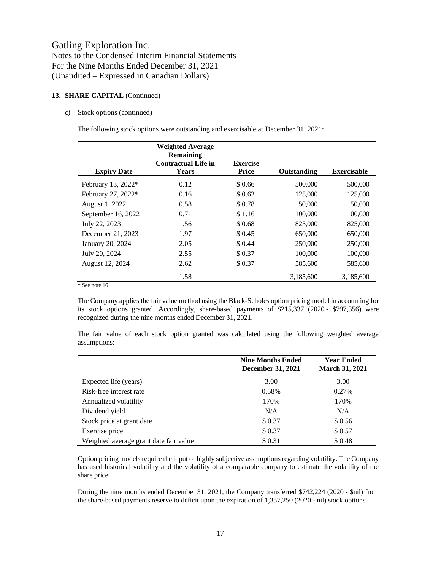#### c) Stock options (continued)

The following stock options were outstanding and exercisable at December 31, 2021:

|                    | <b>Weighted Average</b><br><b>Remaining</b> |                          |                    |                    |
|--------------------|---------------------------------------------|--------------------------|--------------------|--------------------|
| <b>Expiry Date</b> | <b>Contractual Life in</b><br>Years         | Exercise<br><b>Price</b> | <b>Outstanding</b> | <b>Exercisable</b> |
| February 13, 2022* | 0.12                                        | \$0.66                   | 500,000            | 500,000            |
| February 27, 2022* | 0.16                                        | \$ 0.62                  | 125,000            | 125,000            |
| August 1, 2022     | 0.58                                        | \$0.78                   | 50,000             | 50,000             |
| September 16, 2022 | 0.71                                        | \$1.16                   | 100,000            | 100,000            |
| July 22, 2023      | 1.56                                        | \$0.68                   | 825,000            | 825,000            |
| December 21, 2023  | 1.97                                        | \$ 0.45                  | 650,000            | 650,000            |
| January 20, 2024   | 2.05                                        | \$0.44                   | 250,000            | 250,000            |
| July 20, 2024      | 2.55                                        | \$0.37                   | 100,000            | 100,000            |
| August 12, 2024    | 2.62                                        | \$0.37                   | 585,600            | 585,600            |
|                    | 1.58                                        |                          | 3,185,600          | 3,185,600          |

\* See note 16

The Company applies the fair value method using the Black-Scholes option pricing model in accounting for its stock options granted. Accordingly, share-based payments of \$215,337 (2020 - \$797,356) were recognized during the nine months ended December 31, 2021.

The fair value of each stock option granted was calculated using the following weighted average assumptions:

|                                        | <b>Nine Months Ended</b><br>December 31, 2021 | <b>Year Ended</b><br><b>March 31, 2021</b> |
|----------------------------------------|-----------------------------------------------|--------------------------------------------|
| Expected life (years)                  | 3.00                                          | 3.00                                       |
| Risk-free interest rate                | 0.58%                                         | 0.27%                                      |
| Annualized volatility                  | 170%                                          | 170%                                       |
| Dividend yield                         | N/A                                           | N/A                                        |
| Stock price at grant date              | \$0.37                                        | \$0.56                                     |
| Exercise price                         | \$0.37                                        | \$0.57                                     |
| Weighted average grant date fair value | \$0.31                                        | \$0.48                                     |

Option pricing models require the input of highly subjective assumptions regarding volatility. The Company has used historical volatility and the volatility of a comparable company to estimate the volatility of the share price.

During the nine months ended December 31, 2021, the Company transferred \$742,224 (2020 - \$nil) from the share-based payments reserve to deficit upon the expiration of 1,357,250 (2020 - nil) stock options.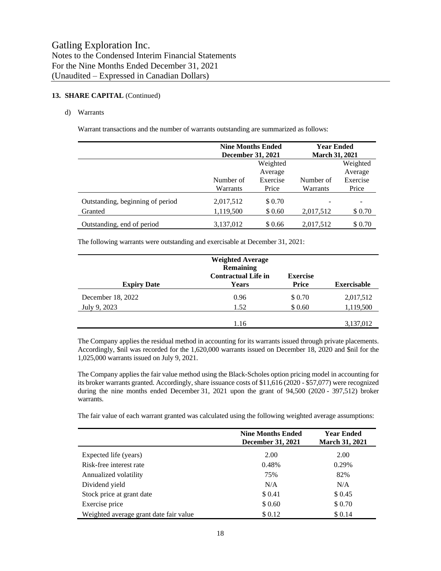# d) Warrants

Warrant transactions and the number of warrants outstanding are summarized as follows:

|                                  | <b>Nine Months Ended</b><br><b>December 31, 2021</b> |          | <b>Year Ended</b><br><b>March 31, 2021</b> |          |  |
|----------------------------------|------------------------------------------------------|----------|--------------------------------------------|----------|--|
|                                  |                                                      | Weighted |                                            | Weighted |  |
|                                  |                                                      | Average  |                                            | Average  |  |
|                                  | Number of                                            | Exercise | Number of                                  | Exercise |  |
|                                  | Warrants                                             | Price    | Warrants                                   | Price    |  |
| Outstanding, beginning of period | 2,017,512                                            | \$0.70   |                                            |          |  |
| Granted                          | 1,119,500                                            | \$ 0.60  | 2,017,512                                  | \$0.70   |  |
| Outstanding, end of period       | 3,137,012                                            | \$0.66   | 2,017,512                                  | \$ 0.70  |  |

The following warrants were outstanding and exercisable at December 31, 2021:

| <b>Expiry Date</b> | <b>Weighted Average</b><br><b>Remaining</b><br><b>Contractual Life in</b><br>Years | <b>Exercise</b><br><b>Price</b> | <b>Exercisable</b> |
|--------------------|------------------------------------------------------------------------------------|---------------------------------|--------------------|
| December 18, 2022  | 0.96                                                                               | \$ 0.70                         | 2,017,512          |
| July 9, 2023       | 1.52                                                                               | \$0.60                          | 1,119,500          |
|                    | 1.16                                                                               |                                 | 3,137,012          |

The Company applies the residual method in accounting for its warrants issued through private placements. Accordingly, \$nil was recorded for the 1,620,000 warrants issued on December 18, 2020 and \$nil for the 1,025,000 warrants issued on July 9, 2021.

The Company applies the fair value method using the Black-Scholes option pricing model in accounting for its broker warrants granted. Accordingly, share issuance costs of \$11,616 (2020 - \$57,077) were recognized during the nine months ended December 31, 2021 upon the grant of 94,500 (2020 - 397,512) broker warrants.

The fair value of each warrant granted was calculated using the following weighted average assumptions:

|                                        | <b>Nine Months Ended</b><br><b>December 31, 2021</b> | <b>Year Ended</b><br><b>March 31, 2021</b> |
|----------------------------------------|------------------------------------------------------|--------------------------------------------|
| Expected life (years)                  | 2.00                                                 | 2.00                                       |
| Risk-free interest rate                | 0.48%                                                | 0.29%                                      |
| Annualized volatility                  | 75%                                                  | 82%                                        |
| Dividend yield                         | N/A                                                  | N/A                                        |
| Stock price at grant date              | \$0.41                                               | \$0.45                                     |
| Exercise price                         | \$0.60                                               | \$0.70                                     |
| Weighted average grant date fair value | \$0.12                                               | \$0.14                                     |